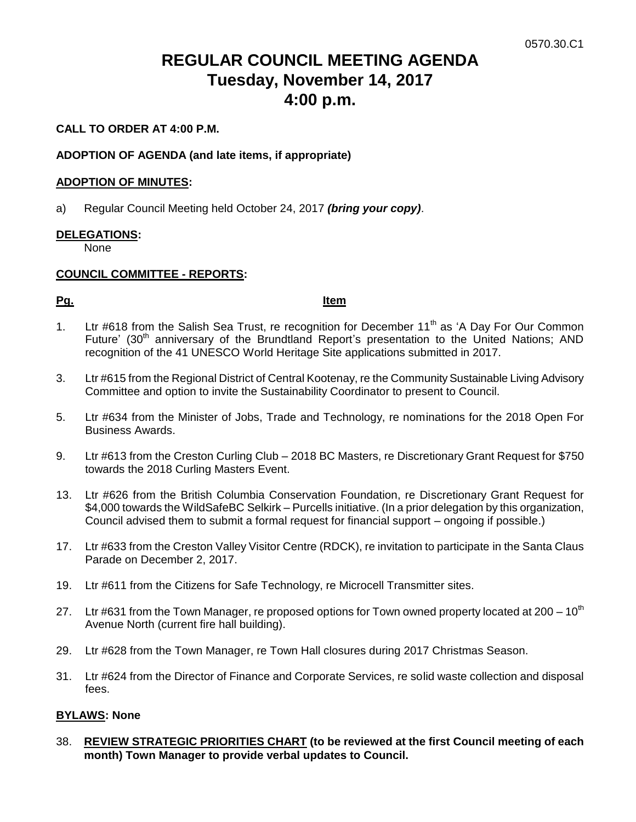# **REGULAR COUNCIL MEETING AGENDA Tuesday, November 14, 2017 4:00 p.m.**

## **CALL TO ORDER AT 4:00 P.M.**

## **ADOPTION OF AGENDA (and late items, if appropriate)**

## **ADOPTION OF MINUTES:**

a) Regular Council Meeting held October 24, 2017 *(bring your copy)*.

## **DELEGATIONS:**

None

## **COUNCIL COMMITTEE - REPORTS:**

**Pg. Item**

- 1. Ltr #618 from the Salish Sea Trust, re recognition for December 11<sup>th</sup> as 'A Day For Our Common Future' (30<sup>th</sup> anniversary of the Brundtland Report's presentation to the United Nations; AND recognition of the 41 UNESCO World Heritage Site applications submitted in 2017.
- 3. Ltr #615 from the Regional District of Central Kootenay, re the Community Sustainable Living Advisory Committee and option to invite the Sustainability Coordinator to present to Council.
- 5. Ltr #634 from the Minister of Jobs, Trade and Technology, re nominations for the 2018 Open For Business Awards.
- 9. Ltr #613 from the Creston Curling Club 2018 BC Masters, re Discretionary Grant Request for \$750 towards the 2018 Curling Masters Event.
- 13. Ltr #626 from the British Columbia Conservation Foundation, re Discretionary Grant Request for \$4,000 towards the WildSafeBC Selkirk – Purcells initiative. (In a prior delegation by this organization, Council advised them to submit a formal request for financial support – ongoing if possible.)
- 17. Ltr #633 from the Creston Valley Visitor Centre (RDCK), re invitation to participate in the Santa Claus Parade on December 2, 2017.
- 19. Ltr #611 from the Citizens for Safe Technology, re Microcell Transmitter sites.
- 27. Ltr #631 from the Town Manager, re proposed options for Town owned property located at 200  $10^{th}$ Avenue North (current fire hall building).
- 29. Ltr #628 from the Town Manager, re Town Hall closures during 2017 Christmas Season.
- 31. Ltr #624 from the Director of Finance and Corporate Services, re solid waste collection and disposal fees.

## **BYLAWS: None**

38. **REVIEW STRATEGIC PRIORITIES CHART (to be reviewed at the first Council meeting of each month) Town Manager to provide verbal updates to Council.**